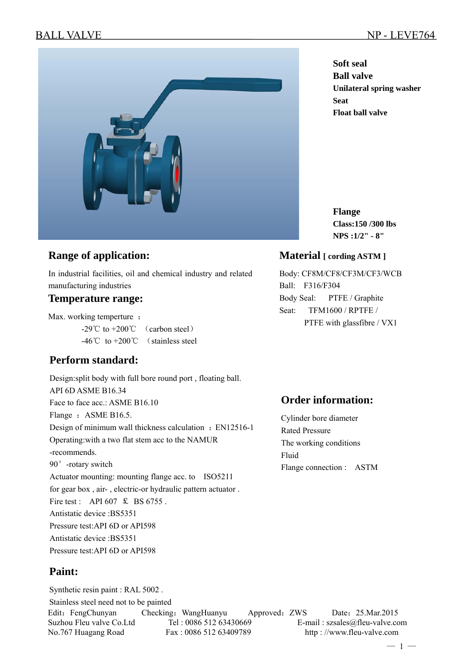

# **Range of application:**

In industrial facilities, oil and chemical industry and related manufacturing industries

## **Temperature range:**

Max. working temperture :  $-29^{\circ}$ C to  $+200^{\circ}$  (carbon steel) -46℃ to +200℃ (stainless steel

# **Perform standard:**

Design:split body with full bore round port , floating ball. API 6D ASME B16.34 Face to face acc.: ASME B16.10 Flange : ASME B16.5. Design of minimum wall thickness calculation : EN12516-1 Operating:with a two flat stem acc to the NAMUR -recommends. 90°-rotary switch Actuator mounting: mounting flange acc. to ISO5211 for gear box , air- , electric-or hydraulic pattern actuator . Fire test : API 607  $\text{\&}$  BS 6755. Antistatic device :BS5351 Pressure test:API 6D or API598 Antistatic device :BS5351 Pressure test:API 6D or API598

# **Paint:**

Edit: FengChunyan Checking: WangHuanyu Approved: ZWS Date: 25.Mar.2015 Suzhou Fleu valve Co.Ltd Tel : 0086 512 63430669 E-mail : szsales@fleu-valve.com No.767 Huagang Road Fax : 0086 512 63409789 http : //www.fleu-valve.com Synthetic resin paint : RAL 5002 . Stainless steel need not to be painted

**Soft seal Ball valve Unilateral spring washer Seat Float ball valve**

**Flange Class:150 /300 lbs NPS :1/2" - 8"** 

## **Material [ cording ASTM ]**

Body: CF8M/CF8/CF3M/CF3/WCB Ball: F316/F304 Body Seal: PTFE / Graphite Seat: TFM1600 / RPTFE / PTFE with glassfibre / VX1

# **Order information:**

Cylinder bore diameter Rated Pressure The working conditions Fluid Flange connection : ASTM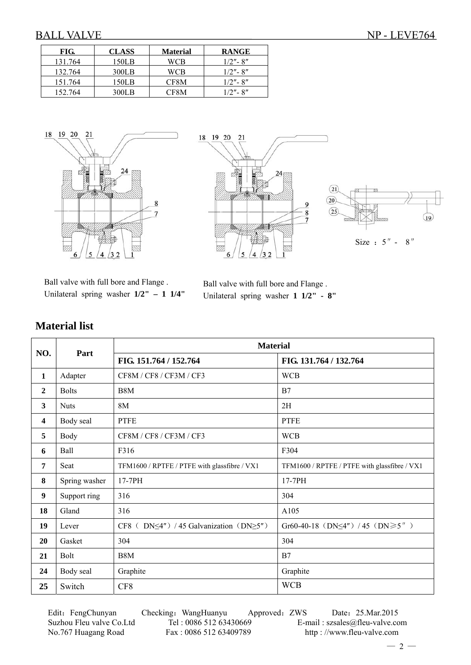| FIG.    | <b>CLASS</b> | <b>Material</b> | <b>RANGE</b> |
|---------|--------------|-----------------|--------------|
| 131.764 | 150LB        | WCB             | $1/2"$ - 8"  |
| 132.764 | 300LB        | WCB             | $1/2"$ - 8"  |
| 151.764 | 150LB        | CF8M            | $1/2"$ - 8"  |
| 152.764 | 300LB        | CF8M            | $1/2"$ - 8"  |





Ball valve with full bore and Flange . Unilateral spring washer **1/2" – 1 1/4"** 

Ball valve with full bore and Flange . Unilateral spring washer **1 1/2" - 8"**

|                         |               | <b>Material</b>                                           |                                               |  |  |  |
|-------------------------|---------------|-----------------------------------------------------------|-----------------------------------------------|--|--|--|
| NO.                     | Part          | FIG. 151.764 / 152.764                                    | FIG. 131.764 / 132.764                        |  |  |  |
| $\mathbf{1}$            | Adapter       | CF8M / CF8 / CF3M / CF3                                   | <b>WCB</b>                                    |  |  |  |
| $\overline{2}$          | <b>Bolts</b>  | B <sub>8</sub> M                                          | B7                                            |  |  |  |
| 3                       | <b>Nuts</b>   | 8M                                                        | 2H                                            |  |  |  |
| $\overline{\mathbf{4}}$ | Body seal     | <b>PTFE</b>                                               | <b>PTFE</b>                                   |  |  |  |
| 5                       | <b>Body</b>   | CF8M/CF8/CF3M/CF3                                         | <b>WCB</b>                                    |  |  |  |
| 6                       | Ball          | F316                                                      | F304                                          |  |  |  |
| $\overline{7}$          | Seat          | TFM1600 / RPTFE / PTFE with glassfibre / VX1              | TFM1600 / RPTFE / PTFE with glassfibre / VX1  |  |  |  |
| 8                       | Spring washer | $17-7PH$                                                  | $17-7PH$                                      |  |  |  |
| 9                       | Support ring  | 316                                                       | 304                                           |  |  |  |
| 18                      | Gland         | 316                                                       | A105                                          |  |  |  |
| 19                      | Lever         | CF8 ( $DN \leq 4'$ ) / 45 Galvanization ( $DN \geq 5''$ ) | Gr60-40-18 (DN $\leq$ 4") / 45 (DN $\geq$ 5") |  |  |  |
| 20                      | Gasket        | 304                                                       | 304                                           |  |  |  |
| 21                      | <b>Bolt</b>   | B <sub>8</sub> M                                          | B7                                            |  |  |  |
| 24                      | Body seal     | Graphite                                                  | Graphite                                      |  |  |  |
| 25                      | Switch        | CF8                                                       | <b>WCB</b>                                    |  |  |  |

Edit: FengChunyan Checking: WangHuanyu Approved: ZWS Date: 25.Mar.2015 Suzhou Fleu valve Co.Ltd Tel : 0086 512 63430669 E-mail : szsales@fleu-valve.com<br>No.767 Huagang Road Fax : 0086 512 63409789 http : //www.fleu-valve.com

http : //www.fleu-valve.com

## **Material list**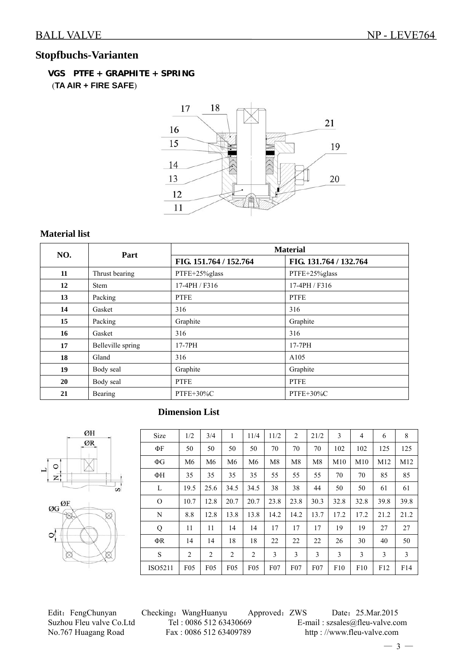# **Stopfbuchs-Varianten**

 **VGS PTFE + GRAPHITE + SPRING** (**TA AIR + FIRE SAFE**)



### **Material list**

|     | Part              | <b>Material</b>        |                        |  |  |  |  |  |
|-----|-------------------|------------------------|------------------------|--|--|--|--|--|
| NO. |                   | FIG. 151.764 / 152.764 | FIG. 131.764 / 132.764 |  |  |  |  |  |
| 11  | Thrust bearing    | PTFE+25%glass          | PTFE+25%glass          |  |  |  |  |  |
| 12  | <b>Stem</b>       | 17-4PH / F316          | 17-4PH / F316          |  |  |  |  |  |
| 13  | Packing           | <b>PTFE</b>            | <b>PTFE</b>            |  |  |  |  |  |
| 14  | Gasket            | 316                    | 316                    |  |  |  |  |  |
| 15  | Packing           | Graphite               | Graphite               |  |  |  |  |  |
| 16  | Gasket            | 316                    | 316                    |  |  |  |  |  |
| 17  | Belleville spring | 17-7PH                 | 17-7PH                 |  |  |  |  |  |
| 18  | Gland             | 316                    | A105                   |  |  |  |  |  |
| 19  | Body seal         | Graphite               | Graphite               |  |  |  |  |  |
| 20  | Body seal         | <b>PTFE</b>            | <b>PTFE</b>            |  |  |  |  |  |
| 21  | Bearing           | PTFE+30%C              | $PTFE+30\%C$           |  |  |  |  |  |

## **Dimension List**



ØH

| Size     | 1/2            | 3/4             | 1               | 11/4           | 11/2           | $\overline{c}$ | 21/2 | 3    | $\overline{4}$ | 6    | 8    |
|----------|----------------|-----------------|-----------------|----------------|----------------|----------------|------|------|----------------|------|------|
| ΦF       | 50             | 50              | 50              | 50             | 70             | 70             | 70   | 102  | 102            | 125  | 125  |
| $\Phi$ G | M <sub>6</sub> | M <sub>6</sub>  | M6              | M <sub>6</sub> | M <sub>8</sub> | M8             | M8   | M10  | M10            | M12  | M12  |
| ΦH       | 35             | 35              | 35              | 35             | 55             | 55             | 55   | 70   | 70             | 85   | 85   |
| L        | 19.5           | 25.6            | 34.5            | 34.5           | 38             | 38             | 44   | 50   | 50             | 61   | 61   |
| $\Omega$ | 10.7           | 12.8            | 20.7            | 20.7           | 23.8           | 23.8           | 30.3 | 32.8 | 32.8           | 39.8 | 39.8 |
| N        | 8.8            | 12.8            | 13.8            | 13.8           | 14.2           | 14.2           | 13.7 | 17.2 | 17.2           | 21.2 | 21.2 |
| Q        | 11             | 11              | 14              | 14             | 17             | 17             | 17   | 19   | 19             | 27   | 27   |
| ΦR       | 14             | 14              | 18              | 18             | 22             | 22             | 22   | 26   | 30             | 40   | 50   |
| S        | 2              | $\overline{2}$  | 2               | 2              | 3              | 3              | 3    | 3    | 3              | 3    | 3    |
| ISO5211  | F05            | F <sub>05</sub> | F <sub>05</sub> | F05            | F07            | F07            | F07  | F10  | F10            | F12  | F14  |

Edit: FengChunyan Checking: WangHuanyu Approved: ZWS Date: 25.Mar.2015 Suzhou Fleu valve Co.Ltd Tel : 0086 512 63430669 E-mail : szsales@fleu-valve.com<br>No.767 Huagang Road Fax : 0086 512 63409789 http : //www.fleu-valve.com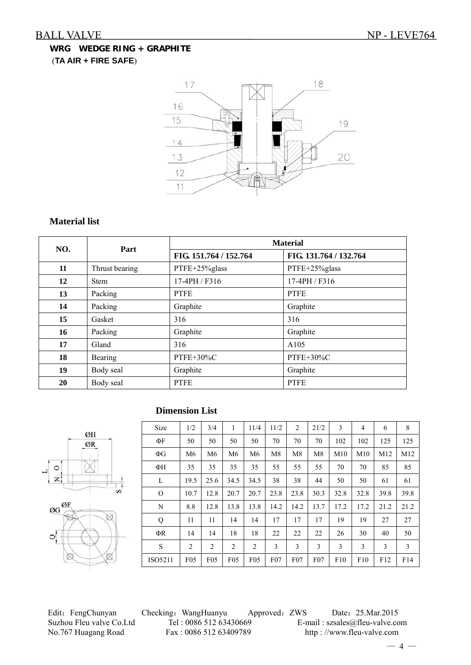## **WRG WEDGE RING + GRAPHITE** (**TA AIR + FIRE SAFE**)



### **Material list**

| NO. | Part           | <b>Material</b>        |                        |  |  |  |  |  |
|-----|----------------|------------------------|------------------------|--|--|--|--|--|
|     |                | FIG. 151.764 / 152.764 | FIG. 131.764 / 132.764 |  |  |  |  |  |
| 11  | Thrust bearing | PTFE+25%glass          | PTFE+25%glass          |  |  |  |  |  |
| 12  | <b>Stem</b>    | 17-4PH / F316          | 17-4PH / F316          |  |  |  |  |  |
| 13  | Packing        | <b>PTFE</b>            | <b>PTFE</b>            |  |  |  |  |  |
| 14  | Packing        | Graphite               | Graphite               |  |  |  |  |  |
| 15  | Gasket         | 316                    | 316                    |  |  |  |  |  |
| 16  | Packing        | Graphite               | Graphite               |  |  |  |  |  |
| 17  | Gland          | 316                    | A105                   |  |  |  |  |  |
| 18  | Bearing        | PTFE+30%C              | PTFE+30%C              |  |  |  |  |  |
| 19  | Body seal      | Graphite               | Graphite               |  |  |  |  |  |
| 20  | Body seal      | <b>PTFE</b>            | <b>PTFE</b>            |  |  |  |  |  |

# ØH ØR  $\circ$ ت  $\overline{z}$ 'n



#### **Dimension List**

| Size     | 1/2             | 3/4             | 1               | 11/4            | 11/2 | $\overline{2}$ | 21/2           | 3    | 4    | 6    | 8    |
|----------|-----------------|-----------------|-----------------|-----------------|------|----------------|----------------|------|------|------|------|
| ФF       | 50              | 50              | 50              | 50              | 70   | 70             | 70             | 102  | 102  | 125  | 125  |
| $\Phi G$ | M <sub>6</sub>  | M <sub>6</sub>  | M6              | M6              | M8   | M8             | M <sub>8</sub> | M10  | M10  | M12  | M12  |
| ФН       | 35              | 35              | 35              | 35              | 55   | 55             | 55             | 70   | 70   | 85   | 85   |
| L        | 19.5            | 25.6            | 34.5            | 34.5            | 38   | 38             | 44             | 50   | 50   | 61   | 61   |
| $\Omega$ | 10.7            | 12.8            | 20.7            | 20.7            | 23.8 | 23.8           | 30.3           | 32.8 | 32.8 | 39.8 | 39.8 |
| N        | 8.8             | 12.8            | 13.8            | 13.8            | 14.2 | 14.2           | 13.7           | 17.2 | 17.2 | 21.2 | 21.2 |
| Q        | 11              | 11              | 14              | 14              | 17   | 17             | 17             | 19   | 19   | 27   | 27   |
| ΦR       | 14              | 14              | 18              | 18              | 22   | 22             | 22             | 26   | 30   | 40   | 50   |
| S        | $\overline{2}$  | $\overline{c}$  | 2               | 2               | 3    | 3              | 3              | 3    | 3    | 3    | 3    |
| ISO5211  | F <sub>05</sub> | F <sub>05</sub> | F <sub>05</sub> | F <sub>05</sub> | F07  | $F_{07}$       | F07            | F10  | F10  | F12  | F14  |

Edit: FengChunyan Checking: WangHuanyu Approved: ZWS Date: 25.Mar.2015 Suzhou Fleu valve Co.Ltd Tel : 0086 512 63430669 E-mail : szsales@fleu-valve.com<br>No.767 Huagang Road Fax : 0086 512 63409789 http : //www.fleu-valve.com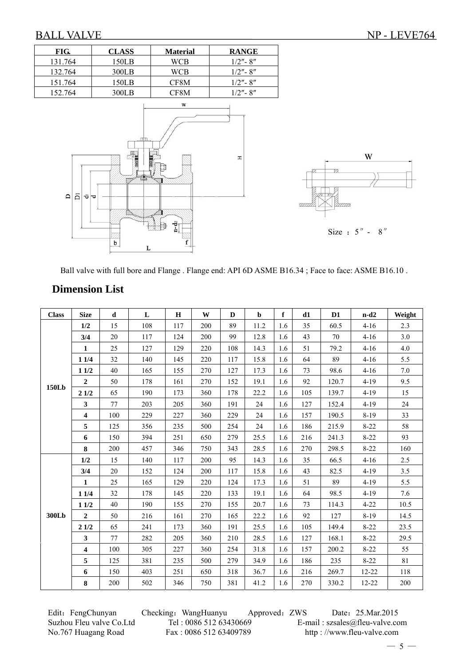I



Ball valve with full bore and Flange . Flange end: API 6D ASME B16.34 ; Face to face: ASME B16.10 .

## **Dimension List**

| <b>Class</b> | <b>Size</b>             | d   | L   | H   | W   | D   | $\mathbf b$ | f   | d1  | D <sub>1</sub> | $n-d2$    | Weight |
|--------------|-------------------------|-----|-----|-----|-----|-----|-------------|-----|-----|----------------|-----------|--------|
|              | 1/2                     | 15  | 108 | 117 | 200 | 89  | 11.2        | 1.6 | 35  | 60.5           | $4 - 16$  | 2.3    |
|              | 3/4                     | 20  | 117 | 124 | 200 | 99  | 12.8        | 1.6 | 43  | 70             | $4 - 16$  | 3.0    |
|              | $\mathbf{1}$            | 25  | 127 | 129 | 220 | 108 | 14.3        | 1.6 | 51  | 79.2           | $4 - 16$  | 4.0    |
|              | 11/4                    | 32  | 140 | 145 | 220 | 117 | 15.8        | 1.6 | 64  | 89             | $4 - 16$  | 5.5    |
|              | 11/2                    | 40  | 165 | 155 | 270 | 127 | 17.3        | 1.6 | 73  | 98.6           | $4 - 16$  | 7.0    |
|              | $\overline{2}$          | 50  | 178 | 161 | 270 | 152 | 19.1        | 1.6 | 92  | 120.7          | $4 - 19$  | 9.5    |
| <b>150Lb</b> | 21/2                    | 65  | 190 | 173 | 360 | 178 | 22.2        | 1.6 | 105 | 139.7          | $4 - 19$  | 15     |
|              | $\mathbf{3}$            | 77  | 203 | 205 | 360 | 191 | 24          | 1.6 | 127 | 152.4          | $4 - 19$  | 24     |
|              | $\boldsymbol{4}$        | 100 | 229 | 227 | 360 | 229 | 24          | 1.6 | 157 | 190.5          | $8-19$    | 33     |
|              | 5                       | 125 | 356 | 235 | 500 | 254 | 24          | 1.6 | 186 | 215.9          | $8 - 22$  | 58     |
|              | 6                       | 150 | 394 | 251 | 650 | 279 | 25.5        | 1.6 | 216 | 241.3          | $8 - 22$  | 93     |
|              | $\bf 8$                 | 200 | 457 | 346 | 750 | 343 | 28.5        | 1.6 | 270 | 298.5          | $8 - 22$  | 160    |
|              | 1/2                     | 15  | 140 | 117 | 200 | 95  | 14.3        | 1.6 | 35  | 66.5           | $4 - 16$  | 2.5    |
|              | 3/4                     | 20  | 152 | 124 | 200 | 117 | 15.8        | 1.6 | 43  | 82.5           | $4 - 19$  | 3.5    |
|              | $\mathbf{1}$            | 25  | 165 | 129 | 220 | 124 | 17.3        | 1.6 | 51  | 89             | $4-19$    | 5.5    |
|              | 11/4                    | 32  | 178 | 145 | 220 | 133 | 19.1        | 1.6 | 64  | 98.5           | $4-19$    | 7.6    |
|              | 11/2                    | 40  | 190 | 155 | 270 | 155 | 20.7        | 1.6 | 73  | 114.3          | $4 - 22$  | 10.5   |
| 300Lb        | $\overline{2}$          | 50  | 216 | 161 | 270 | 165 | 22.2        | 1.6 | 92  | 127            | $8-19$    | 14.5   |
|              | 21/2                    | 65  | 241 | 173 | 360 | 191 | 25.5        | 1.6 | 105 | 149.4          | $8-22$    | 23.5   |
|              | $\mathbf{3}$            | 77  | 282 | 205 | 360 | 210 | 28.5        | 1.6 | 127 | 168.1          | $8 - 22$  | 29.5   |
|              | $\overline{\mathbf{4}}$ | 100 | 305 | 227 | 360 | 254 | 31.8        | 1.6 | 157 | 200.2          | $8 - 22$  | 55     |
|              | 5                       | 125 | 381 | 235 | 500 | 279 | 34.9        | 1.6 | 186 | 235            | $8 - 22$  | 81     |
|              | 6                       | 150 | 403 | 251 | 650 | 318 | 36.7        | 1.6 | 216 | 269.7          | $12 - 22$ | 118    |
|              | 8                       | 200 | 502 | 346 | 750 | 381 | 41.2        | 1.6 | 270 | 330.2          | $12 - 22$ | 200    |

Edit: FengChunyan Checking: WangHuanyu Approved: ZWS Date: 25.Mar.2015 Suzhou Fleu valve Co.Ltd Tel : 0086 512 63430669 E-mail : szsales@fleu-valve.com<br>No.767 Huagang Road Fax : 0086 512 63409789 http : //www.fleu-valve.com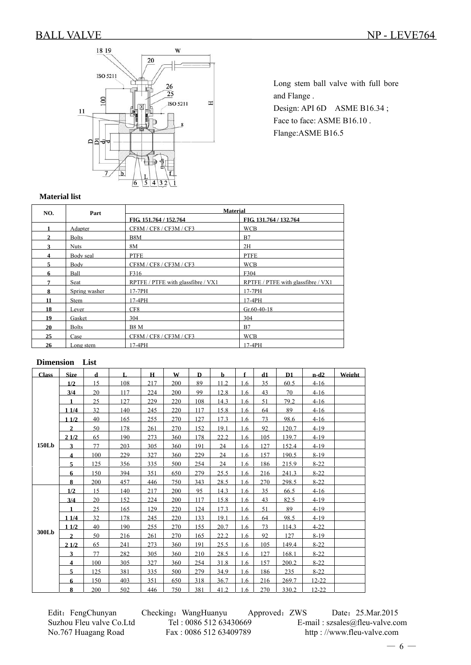

Long stem ball valve with full bore and Flange . Design: API 6D ASME B16.34; Face to face: ASME B16.10. Flange:ASME B16.5

#### **Material list**

| NO.          | Part          |                                    | <b>Material</b>                    |  |  |  |  |  |  |
|--------------|---------------|------------------------------------|------------------------------------|--|--|--|--|--|--|
|              |               | FIG. 151.764 / 152.764             | FIG. 131.764 / 132.764             |  |  |  |  |  |  |
|              | Adapter       | CF8M / CF8 / CF3M / CF3            | <b>WCB</b>                         |  |  |  |  |  |  |
| $\mathbf{2}$ | <b>Bolts</b>  | B8M                                | B7                                 |  |  |  |  |  |  |
| 3            | <b>Nuts</b>   | 8M                                 | 2H                                 |  |  |  |  |  |  |
| 4            | Body seal     | <b>PTFE</b>                        | <b>PTFE</b>                        |  |  |  |  |  |  |
| 5.           | Body          | CF8M / CF8 / CF3M / CF3            | <b>WCB</b>                         |  |  |  |  |  |  |
| 6            | Ball          | F316                               | F304                               |  |  |  |  |  |  |
| 7            | Seat          | RPTFE / PTFE with glassfibre / VX1 | RPTFE / PTFE with glassfibre / VX1 |  |  |  |  |  |  |
| 8            | Spring washer | 17-7PH                             | 17-7PH                             |  |  |  |  |  |  |
| 11           | Stem          | 17-4PH                             | 17-4PH                             |  |  |  |  |  |  |
| 18           | Lever         | CF8                                | $Gr.60-40-18$                      |  |  |  |  |  |  |
| 19           | Gasket        | 304                                | 304                                |  |  |  |  |  |  |
| 20           | <b>Bolts</b>  | <b>B8 M</b>                        | B7                                 |  |  |  |  |  |  |
| 25           | Case          | CF8M/CF8/CF3M/CF3                  | <b>WCB</b>                         |  |  |  |  |  |  |
| 26           | Long stem     | 17-4PH                             | $17-4PH$                           |  |  |  |  |  |  |

#### **Dimension List**

| <b>Class</b> | <b>Size</b>    | d   | Ι.  | $\mathbf H$ | W   | D   | $\mathbf b$ | f   | d1  | D1    | $n-d2$    | Weight |
|--------------|----------------|-----|-----|-------------|-----|-----|-------------|-----|-----|-------|-----------|--------|
|              | 1/2            | 15  | 108 | 217         | 200 | 89  | 11.2        | 1.6 | 35  | 60.5  | $4-16$    |        |
|              | 3/4            | 20  | 117 | 224         | 200 | 99  | 12.8        | 1.6 | 43  | 70    | $4-16$    |        |
|              | 1              | 25  | 127 | 229         | 220 | 108 | 14.3        | 1.6 | 51  | 79.2  | $4-16$    |        |
|              | 1 1/4          | 32  | 140 | 245         | 220 | 117 | 15.8        | 1.6 | 64  | 89    | $4-16$    |        |
|              | 11/2           | 40  | 165 | 255         | 270 | 127 | 17.3        | 1.6 | 73  | 98.6  | $4-16$    |        |
|              | $\mathbf{2}$   | 50  | 178 | 261         | 270 | 152 | 19.1        | 1.6 | 92  | 120.7 | $4-19$    |        |
|              | 21/2           | 65  | 190 | 273         | 360 | 178 | 22.2        | 1.6 | 105 | 139.7 | $4 - 19$  |        |
| 150Lb        | $\mathbf{3}$   | 77  | 203 | 305         | 360 | 191 | 24          | 1.6 | 127 | 152.4 | $4-19$    |        |
|              | $\overline{4}$ | 100 | 229 | 327         | 360 | 229 | 24          | 1.6 | 157 | 190.5 | $8-19$    |        |
|              | 5              | 125 | 356 | 335         | 500 | 254 | 24          | 1.6 | 186 | 215.9 | $8 - 22$  |        |
|              | 6              | 150 | 394 | 351         | 650 | 279 | 25.5        | 1.6 | 216 | 241.3 | $8 - 22$  |        |
|              | 8              | 200 | 457 | 446         | 750 | 343 | 28.5        | 1.6 | 270 | 298.5 | $8-22$    |        |
|              | 1/2            | 15  | 140 | 217         | 200 | 95  | 14.3        | 1.6 | 35  | 66.5  | $4-16$    |        |
|              | 3/4            | 20  | 152 | 224         | 200 | 117 | 15.8        | 1.6 | 43  | 82.5  | $4-19$    |        |
|              | $\blacksquare$ | 25  | 165 | 129         | 220 | 124 | 17.3        | 1.6 | 51  | 89    | $4-19$    |        |
|              | 11/4           | 32  | 178 | 245         | 220 | 133 | 19.1        | 1.6 | 64  | 98.5  | $4 - 19$  |        |
|              | 11/2           | 40  | 190 | 255         | 270 | 155 | 20.7        | 1.6 | 73  | 114.3 | $4 - 22$  |        |
| 300Lb        | $\mathbf{2}$   | 50  | 216 | 261         | 270 | 165 | 22.2        | 1.6 | 92  | 127   | $8-19$    |        |
|              | 21/2           | 65  | 241 | 273         | 360 | 191 | 25.5        | 1.6 | 105 | 149.4 | $8 - 22$  |        |
|              | 3              | 77  | 282 | 305         | 360 | 210 | 28.5        | 1.6 | 127 | 168.1 | $8 - 22$  |        |
|              | $\overline{4}$ | 100 | 305 | 327         | 360 | 254 | 31.8        | 1.6 | 157 | 200.2 | $8-22$    |        |
|              | 5              | 125 | 381 | 335         | 500 | 279 | 34.9        | 1.6 | 186 | 235   | $8-22$    |        |
|              | 6              | 150 | 403 | 351         | 650 | 318 | 36.7        | 1.6 | 216 | 269.7 | $12 - 22$ |        |
|              | 8              | 200 | 502 | 446         | 750 | 381 | 41.2        | 1.6 | 270 | 330.2 | $12 - 22$ |        |

Edit: FengChunyan Checking: WangHuanyu Approved: ZWS Date: 25.Mar.2015 Suzhou Fleu valve Co.Ltd Tel : 0086 512 63430669 E-mail : szsales@fleu-valve.com<br>No.767 Huagang Road Fax : 0086 512 63409789 http : //www.fleu-valve.com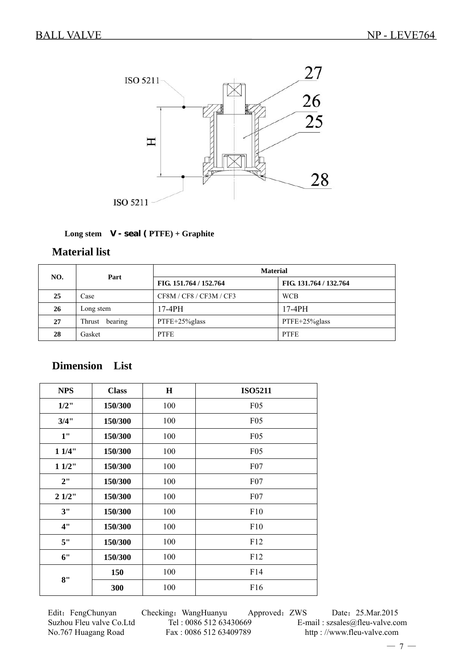

#### **Long stem V - seal ( PTFE) + Graphite**

### **Material list**

| NO. | Part              | <b>Material</b>         |                        |  |  |  |  |
|-----|-------------------|-------------------------|------------------------|--|--|--|--|
|     |                   | FIG. 151.764 / 152.764  | FIG. 131.764 / 132.764 |  |  |  |  |
| 25  | Case              | CF8M / CF8 / CF3M / CF3 | <b>WCB</b>             |  |  |  |  |
| 26  | Long stem         | $17-4PH$                | $17-4PH$               |  |  |  |  |
| 27  | bearing<br>Thrust | PTFE+25%glass           | PTFE+25%glass          |  |  |  |  |
| 28  | Gasket            | <b>PTFE</b>             | <b>PTFE</b>            |  |  |  |  |

# **Dimension List**

| <b>NPS</b> | <b>Class</b> | $\bf H$ | <b>ISO5211</b>  |
|------------|--------------|---------|-----------------|
| $1/2$ "    | 150/300      | 100     | F <sub>05</sub> |
| 3/4"       | 150/300      | 100     | F05             |
| 1"         | 150/300      | 100     | F <sub>05</sub> |
| 11/4"      | 150/300      | 100     | F05             |
| 11/2"      | 150/300      | 100     | F07             |
| 2"         | 150/300      | 100     | F07             |
| 21/2"      | 150/300      | 100     | F07             |
| 3"         | 150/300      | 100     | F10             |
| 4"         | 150/300      | 100     | F10             |
| 5"         | 150/300      | 100     | F12             |
| 6"         | 150/300      | 100     | F12             |
| 8"         | 150          | 100     | F14             |
|            | 300          | 100     | F16             |

Edit: FengChunyan Checking: WangHuanyu Approved: ZWS Date: 25.Mar.2015 Suzhou Fleu valve Co.Ltd Tel : 0086 512 63430669 E-mail : szsales@fleu-valve.com<br>No.767 Huagang Road Fax : 0086 512 63409789 http : //www.fleu-valve.com